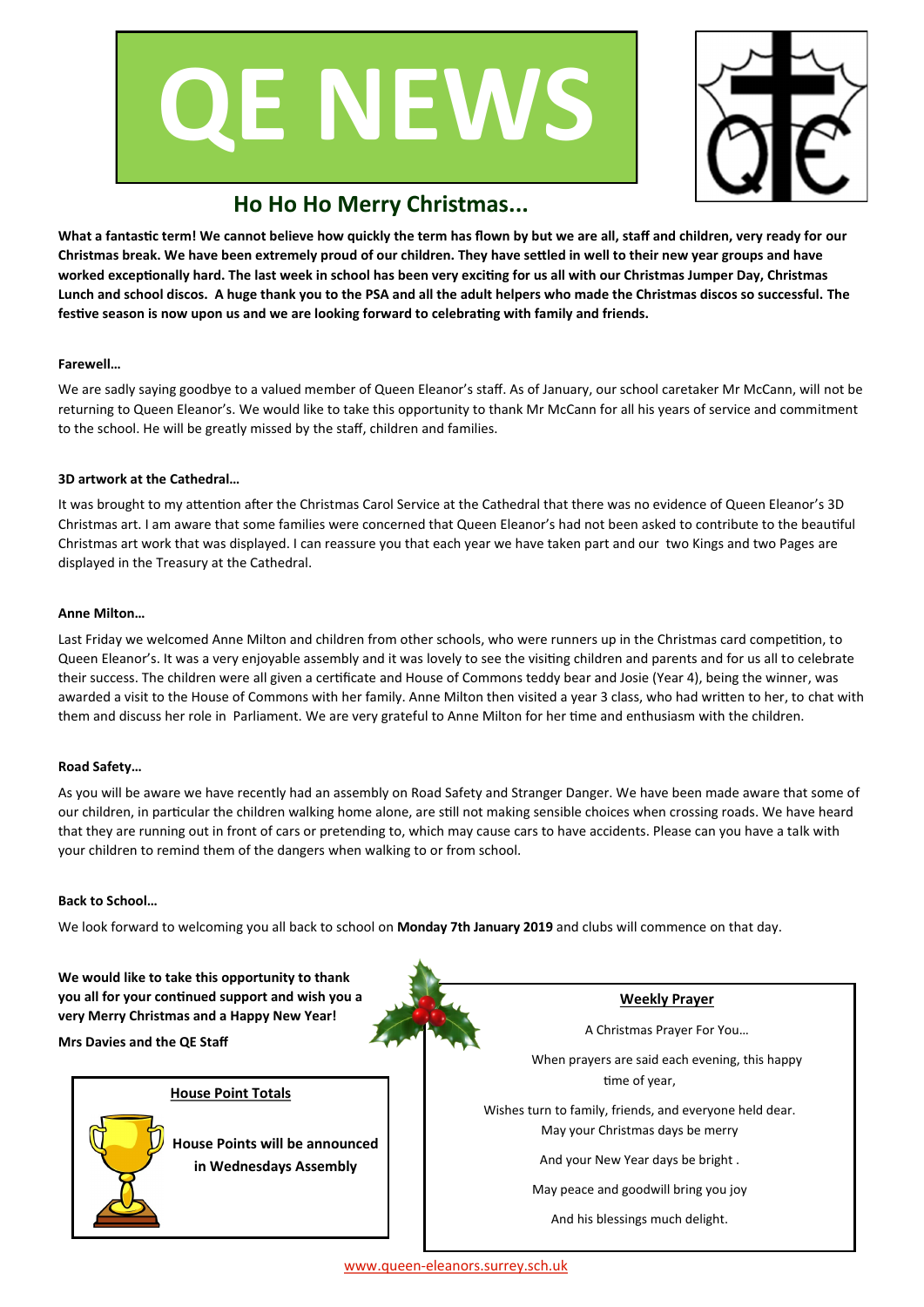



# **Ho Ho Ho Merry Christmas...**

**What a fantastic term! We cannot believe how quickly the term has flown by but we are all, staff and children, very ready for our Christmas break. We have been extremely proud of our children. They have settled in well to their new year groups and have worked exceptionally hard. The last week in school has been very exciting for us all with our Christmas Jumper Day, Christmas Lunch and school discos. A huge thank you to the PSA and all the adult helpers who made the Christmas discos so successful. The festive season is now upon us and we are looking forward to celebrating with family and friends.** 

### **Farewell…**

We are sadly saying goodbye to a valued member of Queen Eleanor's staff. As of January, our school caretaker Mr McCann, will not be returning to Queen Eleanor's. We would like to take this opportunity to thank Mr McCann for all his years of service and commitment to the school. He will be greatly missed by the staff, children and families.

### **3D artwork at the Cathedral…**

It was brought to my attention after the Christmas Carol Service at the Cathedral that there was no evidence of Queen Eleanor's 3D Christmas art. I am aware that some families were concerned that Queen Eleanor's had not been asked to contribute to the beautiful Christmas art work that was displayed. I can reassure you that each year we have taken part and our two Kings and two Pages are displayed in the Treasury at the Cathedral.

### **Anne Milton…**

Last Friday we welcomed Anne Milton and children from other schools, who were runners up in the Christmas card competition, to Queen Eleanor's. It was a very enjoyable assembly and it was lovely to see the visiting children and parents and for us all to celebrate their success. The children were all given a certificate and House of Commons teddy bear and Josie (Year 4), being the winner, was awarded a visit to the House of Commons with her family. Anne Milton then visited a year 3 class, who had written to her, to chat with them and discuss her role in Parliament. We are very grateful to Anne Milton for her time and enthusiasm with the children.

### **Road Safety…**

As you will be aware we have recently had an assembly on Road Safety and Stranger Danger. We have been made aware that some of our children, in particular the children walking home alone, are still not making sensible choices when crossing roads. We have heard that they are running out in front of cars or pretending to, which may cause cars to have accidents. Please can you have a talk with your children to remind them of the dangers when walking to or from school.

### **Back to School…**

We look forward to welcoming you all back to school on **Monday 7th January 2019** and clubs will commence on that day.

**We would like to take this opportunity to thank you all for your continued support and wish you a very Merry Christmas and a Happy New Year!**

### **Mrs Davies and the QE Staff**

### **House Point Totals**

**House Points will be announced in Wednesdays Assembly**

**Weekly Prayer**

A Christmas Prayer For You…

When prayers are said each evening, this happy time of year,

Wishes turn to family, friends, and everyone held dear. May your Christmas days be merry

And your New Year days be bright .

May peace and goodwill bring you joy

And his blessings much delight.